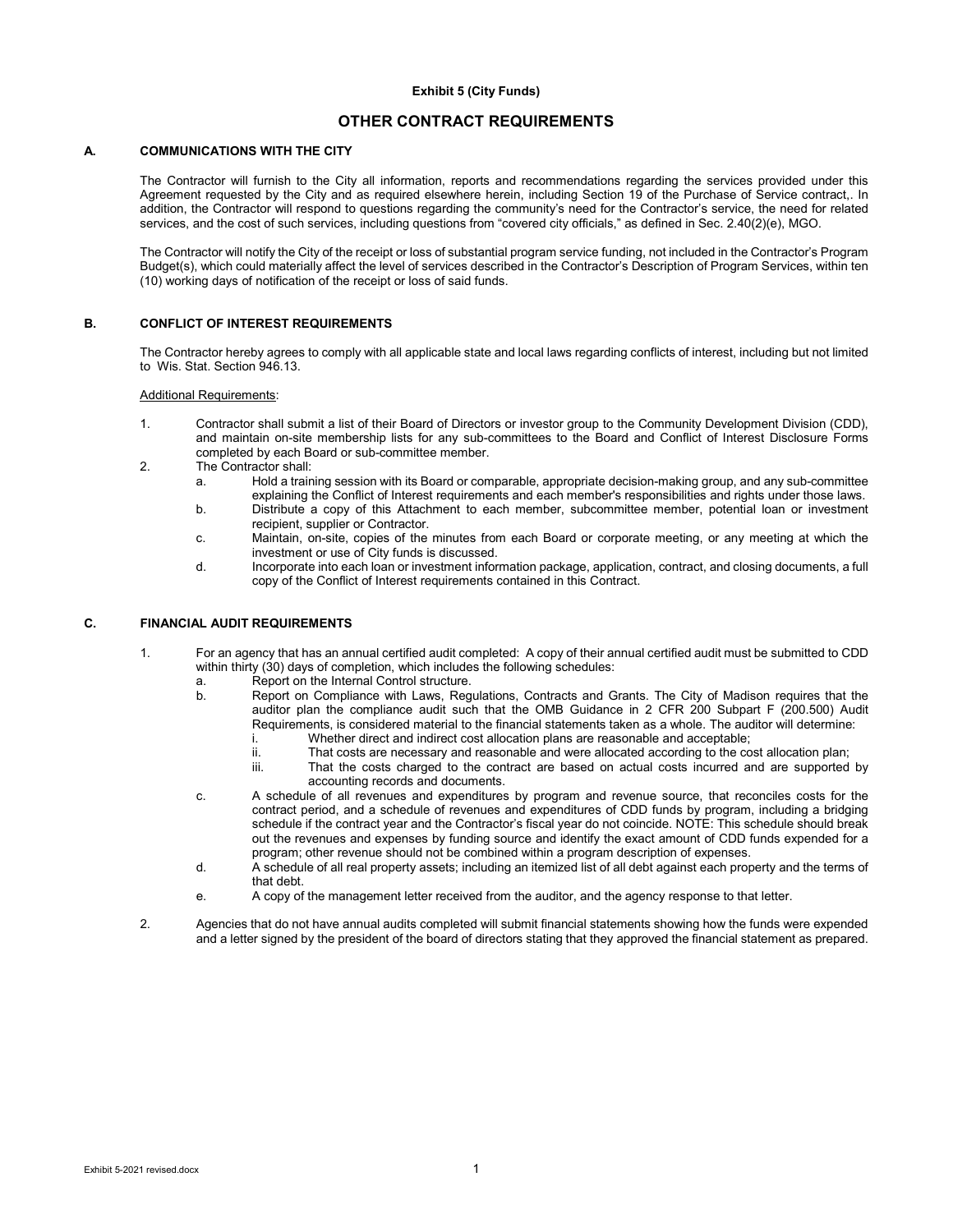### **Exhibit 5 (City Funds)**

# **OTHER CONTRACT REQUIREMENTS**

## **A. COMMUNICATIONS WITH THE CITY**

The Contractor will furnish to the City all information, reports and recommendations regarding the services provided under this Agreement requested by the City and as required elsewhere herein, including Section 19 of the Purchase of Service contract,. In addition, the Contractor will respond to questions regarding the community's need for the Contractor's service, the need for related services, and the cost of such services, including questions from "covered city officials," as defined in Sec. 2.40(2)(e), MGO.

The Contractor will notify the City of the receipt or loss of substantial program service funding, not included in the Contractor's Program Budget(s), which could materially affect the level of services described in the Contractor's Description of Program Services, within ten (10) working days of notification of the receipt or loss of said funds.

### **B. CONFLICT OF INTEREST REQUIREMENTS**

The Contractor hereby agrees to comply with all applicable state and local laws regarding conflicts of interest, including but not limited to Wis. Stat. Section 946.13.

#### Additional Requirements:

- 1. Contractor shall submit a list of their Board of Directors or investor group to the Community Development Division (CDD), and maintain on-site membership lists for any sub-committees to the Board and Conflict of Interest Disclosure Forms completed by each Board or sub-committee member.
- 2. The Contractor shall:
	- a. Hold a training session with its Board or comparable, appropriate decision-making group, and any sub-committee explaining the Conflict of Interest requirements and each member's responsibilities and rights under those laws. b. Distribute a copy of this Attachment to each member, subcommittee member, potential loan or investment
	- recipient, supplier or Contractor.
	- c. Maintain, on-site, copies of the minutes from each Board or corporate meeting, or any meeting at which the investment or use of City funds is discussed.
	- d. Incorporate into each loan or investment information package, application, contract, and closing documents, a full copy of the Conflict of Interest requirements contained in this Contract.

## **C. FINANCIAL AUDIT REQUIREMENTS**

- 1. For an agency that has an annual certified audit completed: A copy of their annual certified audit must be submitted to CDD within thirty (30) days of completion, which includes the following schedules:<br>a Report on the Internal Control structure
	- a. Report on the Internal Control structure.<br>b Report on Compliance with Laws Req
	- Report on Compliance with Laws, Regulations, Contracts and Grants. The City of Madison requires that the auditor plan the compliance audit such that the OMB Guidance in 2 CFR 200 Subpart F (200.500) Audit Requirements, is considered material to the financial statements taken as a whole. The auditor will determine:
		- i. Whether direct and indirect cost allocation plans are reasonable and acceptable;<br>ii. That costs are necessary and reasonable and were allocated according to the co
		- ii. That costs are necessary and reasonable and were allocated according to the cost allocation plan; That the costs charged to the contract are based on actual costs incurred and are supported by
		- accounting records and documents.
	- c. A schedule of all revenues and expenditures by program and revenue source, that reconciles costs for the contract period, and a schedule of revenues and expenditures of CDD funds by program, including a bridging schedule if the contract year and the Contractor's fiscal year do not coincide. NOTE: This schedule should break out the revenues and expenses by funding source and identify the exact amount of CDD funds expended for a program; other revenue should not be combined within a program description of expenses.
	- d. A schedule of all real property assets; including an itemized list of all debt against each property and the terms of that debt.
	- e. A copy of the management letter received from the auditor, and the agency response to that letter.
- 2. Agencies that do not have annual audits completed will submit financial statements showing how the funds were expended and a letter signed by the president of the board of directors stating that they approved the financial statement as prepared.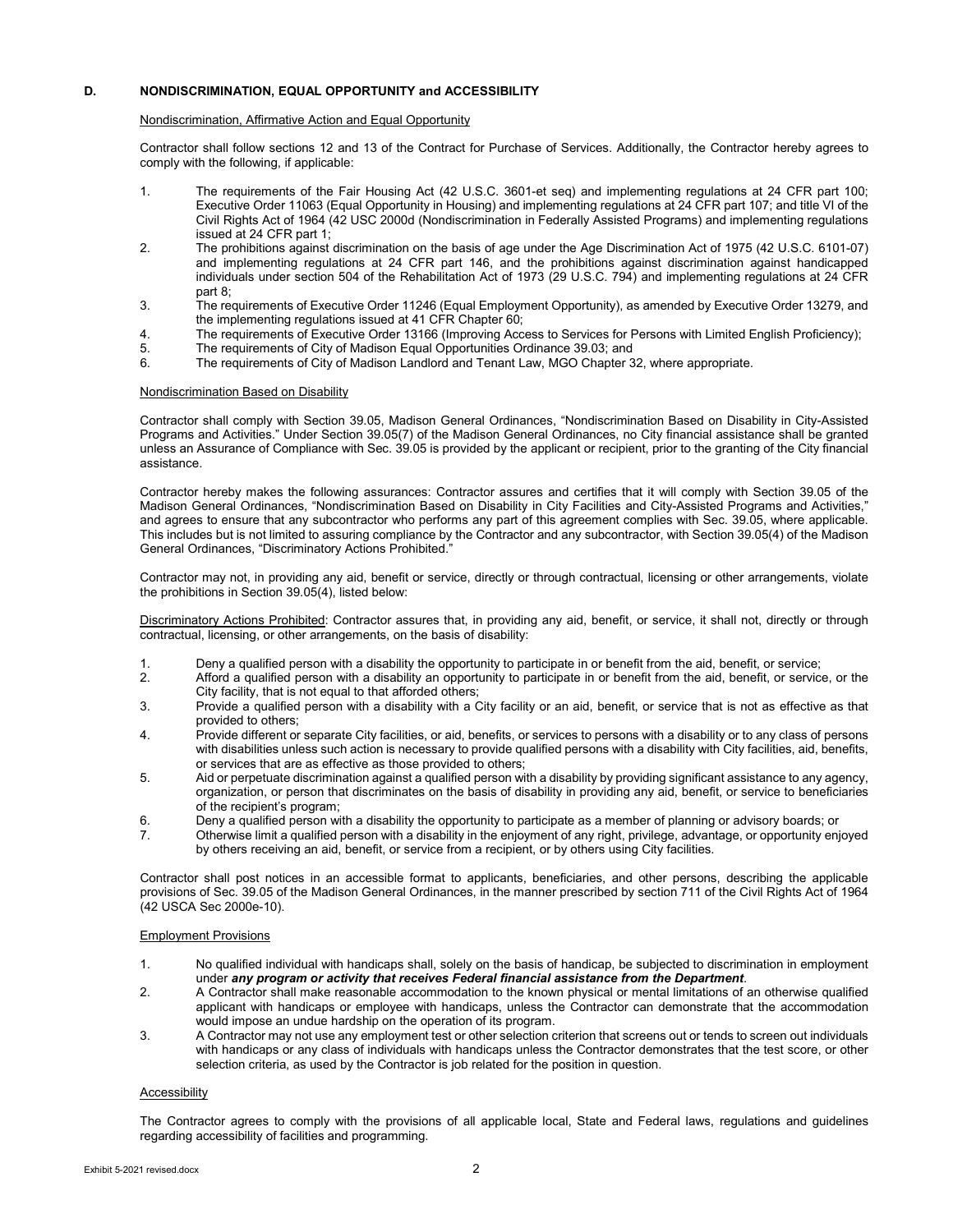## **D. NONDISCRIMINATION, EQUAL OPPORTUNITY and ACCESSIBILITY**

# Nondiscrimination, Affirmative Action and Equal Opportunity

Contractor shall follow sections 12 and 13 of the Contract for Purchase of Services. Additionally, the Contractor hereby agrees to comply with the following, if applicable:

- 1. The requirements of the Fair Housing Act (42 U.S.C. 3601-et seq) and implementing regulations at 24 CFR part 100; Executive Order 11063 (Equal Opportunity in Housing) and implementing regulations at 24 CFR part 107; and title VI of the Civil Rights Act of 1964 (42 USC 2000d (Nondiscrimination in Federally Assisted Programs) and implementing regulations issued at 24 CFR part 1;
- 2. The prohibitions against discrimination on the basis of age under the Age Discrimination Act of 1975 (42 U.S.C. 6101-07) and implementing regulations at 24 CFR part 146, and the prohibitions against discrimination against handicapped individuals under section 504 of the Rehabilitation Act of 1973 (29 U.S.C. 794) and implementing regulations at 24 CFR part 8;
- 3. The requirements of Executive Order 11246 (Equal Employment Opportunity), as amended by Executive Order 13279, and the implementing regulations issued at 41 CFR Chapter 60;
- 4. The requirements of Executive Order 13166 (Improving Access to Services for Persons with Limited English Proficiency);
- 5. The requirements of City of Madison Equal Opportunities Ordinance 39.03; and
- The requirements of City of Madison Landlord and Tenant Law, MGO Chapter 32, where appropriate.

### Nondiscrimination Based on Disability

Contractor shall comply with Section 39.05, Madison General Ordinances, "Nondiscrimination Based on Disability in City-Assisted Programs and Activities." Under Section 39.05(7) of the Madison General Ordinances, no City financial assistance shall be granted unless an Assurance of Compliance with Sec. 39.05 is provided by the applicant or recipient, prior to the granting of the City financial assistance.

Contractor hereby makes the following assurances: Contractor assures and certifies that it will comply with Section 39.05 of the Madison General Ordinances, "Nondiscrimination Based on Disability in City Facilities and City-Assisted Programs and Activities," and agrees to ensure that any subcontractor who performs any part of this agreement complies with Sec. 39.05, where applicable. This includes but is not limited to assuring compliance by the Contractor and any subcontractor, with Section 39.05(4) of the Madison General Ordinances, "Discriminatory Actions Prohibited."

Contractor may not, in providing any aid, benefit or service, directly or through contractual, licensing or other arrangements, violate the prohibitions in Section 39.05(4), listed below:

Discriminatory Actions Prohibited: Contractor assures that, in providing any aid, benefit, or service, it shall not, directly or through contractual, licensing, or other arrangements, on the basis of disability:

- 
- 1. Deny a qualified person with a disability the opportunity to participate in or benefit from the aid, benefit, or service;<br>2. Afford a qualified person with a disability an opportunity to participate in or benefit from t 2. Afford a qualified person with a disability an opportunity to participate in or benefit from the aid, benefit, or service, or the City facility, that is not equal to that afforded others;
- 3. Provide a qualified person with a disability with a City facility or an aid, benefit, or service that is not as effective as that provided to others;
- 4. Provide different or separate City facilities, or aid, benefits, or services to persons with a disability or to any class of persons with disabilities unless such action is necessary to provide qualified persons with a disability with City facilities, aid, benefits, or services that are as effective as those provided to others;
- 5. Aid or perpetuate discrimination against a qualified person with a disability by providing significant assistance to any agency, organization, or person that discriminates on the basis of disability in providing any aid, benefit, or service to beneficiaries of the recipient's program;
- 6. Deny a qualified person with a disability the opportunity to participate as a member of planning or advisory boards; or
- 7. Otherwise limit a qualified person with a disability in the enjoyment of any right, privilege, advantage, or opportunity enjoyed by others receiving an aid, benefit, or service from a recipient, or by others using City facilities.

Contractor shall post notices in an accessible format to applicants, beneficiaries, and other persons, describing the applicable provisions of Sec. 39.05 of the Madison General Ordinances, in the manner prescribed by section 711 of the Civil Rights Act of 1964 (42 USCA Sec 2000e-10).

## Employment Provisions

- 1. No qualified individual with handicaps shall, solely on the basis of handicap, be subjected to discrimination in employment under *any program or activity that receives Federal financial assistance from the Department*.
- 2. A Contractor shall make reasonable accommodation to the known physical or mental limitations of an otherwise qualified applicant with handicaps or employee with handicaps, unless the Contractor can demonstrate that the accommodation would impose an undue hardship on the operation of its program.
- 3. A Contractor may not use any employment test or other selection criterion that screens out or tends to screen out individuals with handicaps or any class of individuals with handicaps unless the Contractor demonstrates that the test score, or other selection criteria, as used by the Contractor is job related for the position in question.

## Accessibility

The Contractor agrees to comply with the provisions of all applicable local, State and Federal laws, regulations and guidelines regarding accessibility of facilities and programming.